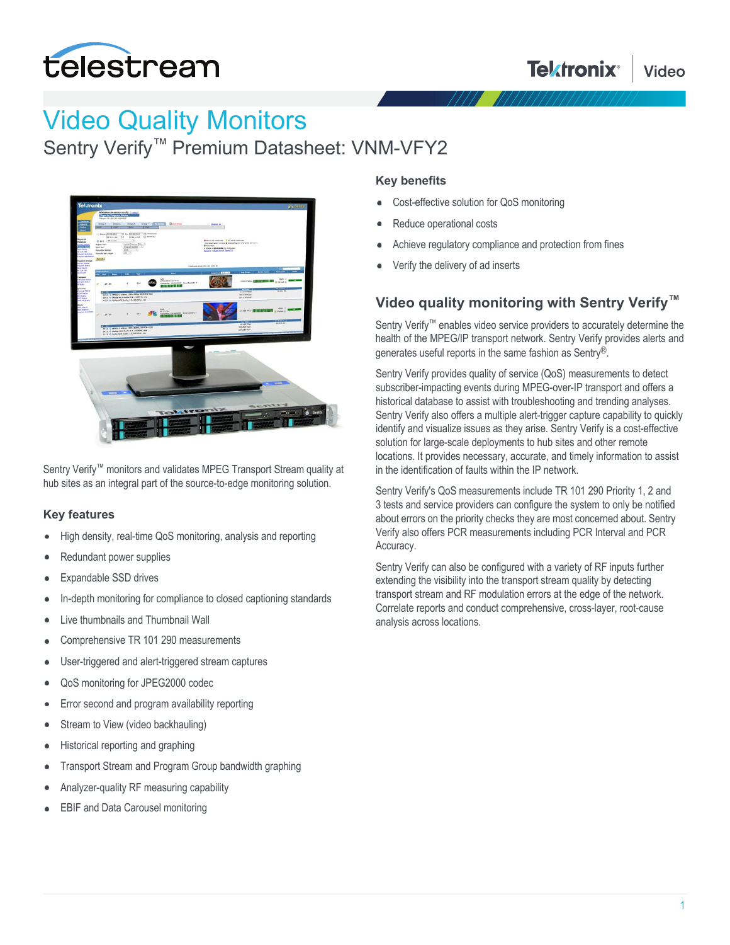

# Video Quality Monitors

Sentry Verify<sup>™</sup> Premium Datasheet: VNM-VFY2



Sentry Verify<sup>™</sup> monitors and validates MPEG Transport Stream quality at hub sites as an integral part of the source-to-edge monitoring solution.

#### **Key features**

- High density, real-time QoS monitoring, analysis and reporting
- Redundant power supplies
- Expandable SSD drives
- In-depth monitoring for compliance to closed captioning standards  $\bullet$
- Live thumbnails and Thumbnail Wall
- Comprehensive TR 101 290 measurements
- User-triggered and alert-triggered stream captures
- QoS monitoring for JPEG2000 codec
- Error second and program availability reporting
- Stream to View (video backhauling)
- Historical reporting and graphing
- Transport Stream and Program Group bandwidth graphing
- Analyzer-quality RF measuring capability
- EBIF and Data Carousel monitoring

#### **Key benefits**

- Cost-effective solution for QoS monitoring
- Reduce operational costs
- Achieve regulatory compliance and protection from fines
- Verify the delivery of ad inserts

### **Video quality monitoring with Sentry Verify™**

Sentry Verify™ enables video service providers to accurately determine the health of the MPEG/IP transport network. Sentry Verify provides alerts and generates useful reports in the same fashion as Sentry®.

Sentry Verify provides quality of service (QoS) measurements to detect subscriber-impacting events during MPEG-over-IP transport and offers a historical database to assist with troubleshooting and trending analyses. Sentry Verify also offers a multiple alert-trigger capture capability to quickly identify and visualize issues as they arise. Sentry Verify is a cost-effective solution for large-scale deployments to hub sites and other remote locations. It provides necessary, accurate, and timely information to assist in the identification of faults within the IP network.

Sentry Verify's QoS measurements include TR 101 290 Priority 1, 2 and 3 tests and service providers can configure the system to only be notified about errors on the priority checks they are most concerned about. Sentry Verify also offers PCR measurements including PCR Interval and PCR Accuracy.

Sentry Verify can also be configured with a variety of RF inputs further extending the visibility into the transport stream quality by detecting transport stream and RF modulation errors at the edge of the network. Correlate reports and conduct comprehensive, cross-layer, root-cause analysis across locations.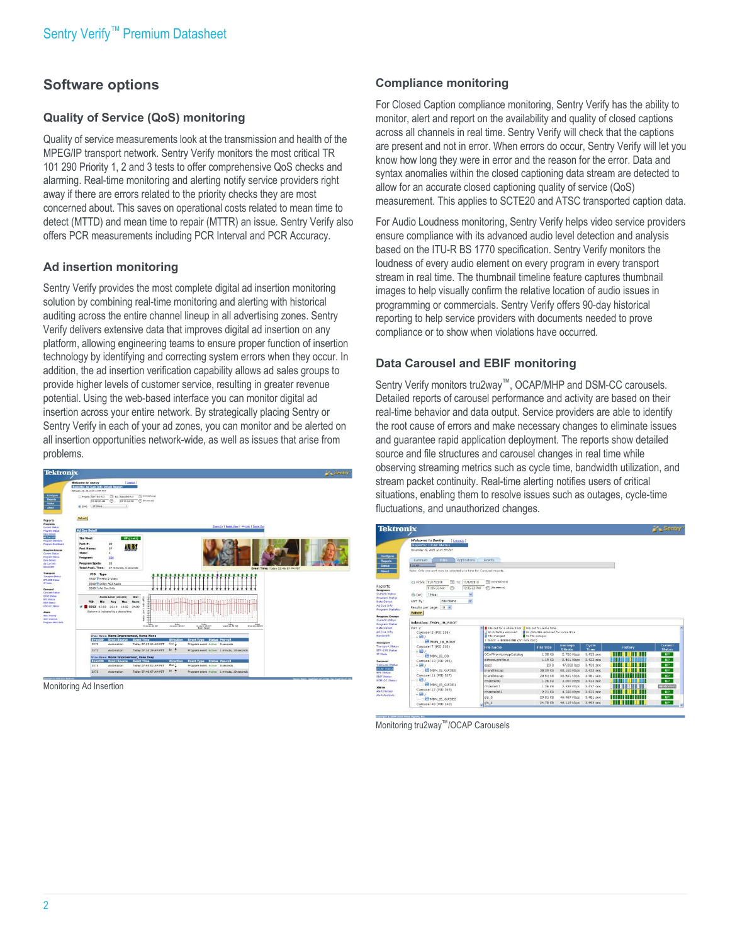## **Software options**

#### **Quality of Service (QoS) monitoring**

Quality of service measurements look at the transmission and health of the MPEG/IP transport network. Sentry Verify monitors the most critical TR 101 290 Priority 1, 2 and 3 tests to offer comprehensive QoS checks and alarming. Real-time monitoring and alerting notify service providers right away if there are errors related to the priority checks they are most concerned about. This saves on operational costs related to mean time to detect (MTTD) and mean time to repair (MTTR) an issue. Sentry Verify also offers PCR measurements including PCR Interval and PCR Accuracy.

#### **Ad insertion monitoring**

Sentry Verify provides the most complete digital ad insertion monitoring solution by combining real-time monitoring and alerting with historical auditing across the entire channel lineup in all advertising zones. Sentry Verify delivers extensive data that improves digital ad insertion on any platform, allowing engineering teams to ensure proper function of insertion technology by identifying and correcting system errors when they occur. In addition, the ad insertion verification capability allows ad sales groups to provide higher levels of customer service, resulting in greater revenue potential. Using the web-based interface you can monitor digital ad insertion across your entire network. By strategically placing Sentry or Sentry Verify in each of your ad zones, you can monitor and be alerted on all insertion opportunities network-wide, as well as issues that arise from problems.



Monitoring Ad Insertion

#### **Compliance monitoring**

For Closed Caption compliance monitoring, Sentry Verify has the ability to monitor, alert and report on the availability and quality of closed captions across all channels in real time. Sentry Verify will check that the captions are present and not in error. When errors do occur, Sentry Verify will let you know how long they were in error and the reason for the error. Data and syntax anomalies within the closed captioning data stream are detected to allow for an accurate closed captioning quality of service (QoS) measurement. This applies to SCTE20 and ATSC transported caption data.

For Audio Loudness monitoring, Sentry Verify helps video service providers ensure compliance with its advanced audio level detection and analysis based on the ITU-R BS 1770 specification. Sentry Verify monitors the loudness of every audio element on every program in every transport stream in real time. The thumbnail timeline feature captures thumbnail images to help visually confirm the relative location of audio issues in programming or commercials. Sentry Verify offers 90-day historical reporting to help service providers with documents needed to prove compliance or to show when violations have occurred.

#### **Data Carousel and EBIF monitoring**

Sentry Verify monitors tru2way™, OCAP/MHP and DSM-CC carousels. Detailed reports of carousel performance and activity are based on their real-time behavior and data output. Service providers are able to identify the root cause of errors and make necessary changes to eliminate issues and guarantee rapid application deployment. The reports show detailed source and file structures and carousel changes in real time while observing streaming metrics such as cycle time, bandwidth utilization, and stream packet continuity. Real-time alerting notifies users of critical situations, enabling them to resolve issues such as outages, cycle-time fluctuations, and unauthorized changes.

| <b>Tektronix</b> |                                                                                           |                                                                     |                                                      |                                             |                            |                        |                      | $\mathbf{F}$ Sentry"     |
|------------------|-------------------------------------------------------------------------------------------|---------------------------------------------------------------------|------------------------------------------------------|---------------------------------------------|----------------------------|------------------------|----------------------|--------------------------|
|                  | <b>Welcome to Sentry</b><br><b>Reports: OCAP Status</b><br>November 17, 2010 12:05 PH PST | [ Logout ]                                                          |                                                      |                                             |                            |                        |                      |                          |
| Summary          | Files                                                                                     | Applications                                                        | Events                                               |                                             |                            |                        |                      |                          |
| locap            |                                                                                           |                                                                     |                                                      |                                             |                            |                        |                      |                          |
|                  |                                                                                           | Note: Only one port may be selected at a time for Carousel reports. |                                                      |                                             |                            |                        |                      |                          |
|                  |                                                                                           |                                                                     |                                                      |                                             |                            |                        |                      |                          |
|                  | C From: 11/17/2010                                                                        | □ то: 11/17/2010                                                    | THE CHANGE (SCHOOL)<br>$[]$ (hhommiza)               |                                             |                            |                        |                      |                          |
|                  | 11:05:33 AM                                                                               | 12.05:33 PM<br>∞                                                    |                                                      |                                             |                            |                        |                      |                          |
| (6)(or)          | 1 Hour                                                                                    | Ÿ                                                                   |                                                      |                                             |                            |                        |                      |                          |
| Sort by:         |                                                                                           | File Namo                                                           |                                                      |                                             |                            |                        |                      |                          |
|                  | Results per page: 10 M                                                                    |                                                                     |                                                      |                                             |                            |                        |                      |                          |
| <b>Rehesh</b>    |                                                                                           |                                                                     |                                                      |                                             |                            |                        |                      |                          |
|                  | Selection: /MDN IB ROOT                                                                   |                                                                     |                                                      |                                             |                            |                        |                      |                          |
| Port 2           |                                                                                           |                                                                     | A Ele put for a vhole block I File out for come time |                                             |                            |                        |                      |                          |
|                  | Carousel 2 (PID 258)                                                                      |                                                                     | I No data/File removed                               | <b>B</b> No data/File removed for some time |                            |                        |                      |                          |
| A                |                                                                                           |                                                                     | File changed<br>$1$ block = $00:04:00$ (hr:min:sec)  | No file outages                             |                            |                        |                      |                          |
|                  | MDN IB ROOT<br>Carousel 7 (PID 263)                                                       |                                                                     | <b>File Name</b>                                     | File Size                                   | Average<br>Bitrate         | Cycle<br>Time          | History              | Current<br><b>Status</b> |
| $= 14$           |                                                                                           |                                                                     | OCAPMonitorAppCatalog                                | $1.30$ KB                                   | 2.700 Kbps                 | $3.433$ sec            |                      | <b>UP</b>                |
|                  | <b>B</b> MDN IB OD<br>Carousel 10 (PID 266)                                               |                                                                     | airtime.profile.z                                    | 1.19 KB                                     | $2.461$ Kbos               | 3.433 sec              |                      | <b>UP</b>                |
| $= 81$           |                                                                                           |                                                                     | apos                                                 | 23B                                         | 47,000 bps                 | 3,433 sec              |                      | UP                       |
|                  | MON IB GUIDEO                                                                             |                                                                     | brandhiscap                                          | 38.59 KB                                    | 80.160 Kbos                | 3.433 sec              |                      | UP                       |
|                  | Carousel 11 (PID 267)                                                                     |                                                                     | brandloggap                                          | 20.63 KB                                    | 40.691 Kbps                | 3,481 sec              |                      | <b>UP</b>                |
| $\mathbf{e}$     |                                                                                           |                                                                     | channels0                                            | 1.26 KB                                     | 3.060 Kbos                 | 3.433 sec              |                      | UP                       |
|                  |                                                                                           |                                                                     |                                                      |                                             |                            |                        |                      |                          |
|                  | MDN_IB_GUIDE1                                                                             |                                                                     | channels1                                            | 1.26 KB                                     | 2.538 Kbps                 | 3.437 sec              |                      | <b>REMOVED</b>           |
|                  | Carousel 12 (PID 268)                                                                     |                                                                     | channels61                                           | $2.21$ KB                                   | 4.598 Kbps                 | 3.433 sec              |                      | <b>UP</b>                |
| $= 2$            | MDN IB GUIDE2                                                                             |                                                                     | gls_0<br>$q/s_1$                                     | 23.81 KB<br>24.70 KB                        | 46,969 Kbps<br>48.119 Kbos | 3.481 sec<br>3.493 sec | <b>THE REFERENCE</b> | UP<br><b>UP</b>          |

Monitoring tru2way™/OCAP Carousels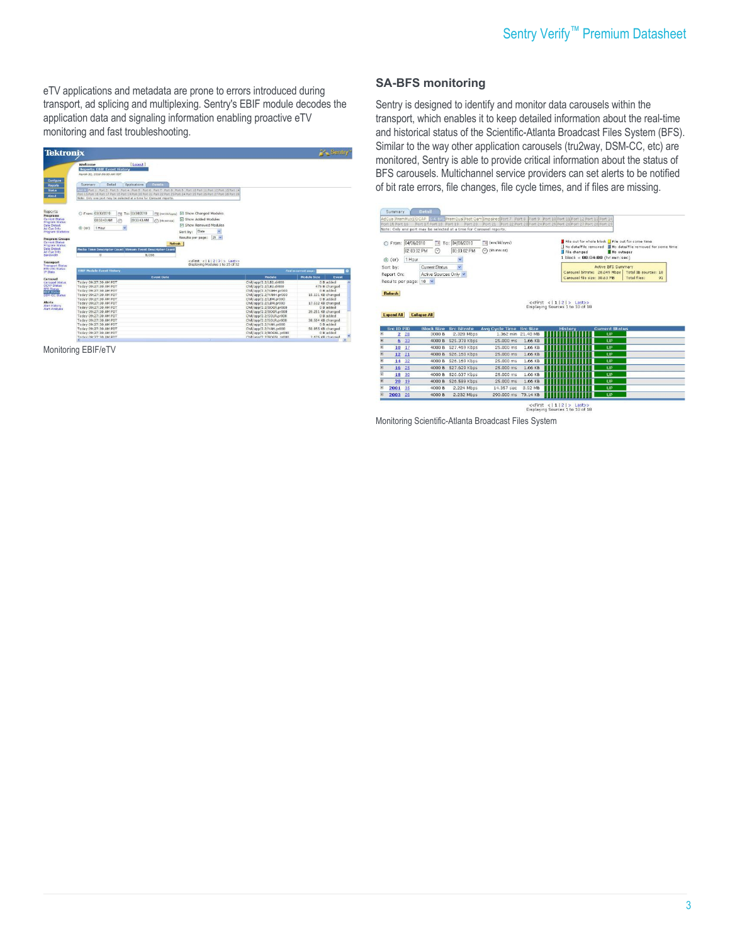eTV applications and metadata are prone to errors introduced during transport, ad splicing and multiplexing. Sentry's EBIF module decodes the application data and signaling information enabling proactive eTV monitoring and fast troubleshooting.

|                                                                                 | <b>Tektronix</b> |                                                                                                  |          |                                                                     |                                                                                    |                                                                                                                                                                                                                                        |                                                                                                              |                                                     |       |
|---------------------------------------------------------------------------------|------------------|--------------------------------------------------------------------------------------------------|----------|---------------------------------------------------------------------|------------------------------------------------------------------------------------|----------------------------------------------------------------------------------------------------------------------------------------------------------------------------------------------------------------------------------------|--------------------------------------------------------------------------------------------------------------|-----------------------------------------------------|-------|
|                                                                                 | Welcome          | <b>Reports: EBIF Event History</b><br>March 30, 2010 09:33 AM PDT                                |          | [ Logout ]                                                          |                                                                                    |                                                                                                                                                                                                                                        |                                                                                                              |                                                     |       |
| Configure<br>Reports                                                            | Summary          | Detail                                                                                           |          | Applications                                                        | Events                                                                             |                                                                                                                                                                                                                                        |                                                                                                              |                                                     |       |
|                                                                                 |                  |                                                                                                  |          | Note: Only one port may be selected at a time for Carousel reports. |                                                                                    | Fire Port 1 Port 3 Port 3 Port 4 Port 5 Port 6 Port 7 Port 8 Port 9 Port 10 Port 11 Port 12 Port 13 Port 14<br>Port 15 Port 16 Port 17 Port 18 Port 19 Port 21 Port 21 Port 22 Port 23 Port 24 Port 25 Port 26 Port 27 Port 28 Port 29 |                                                                                                              |                                                     |       |
| Reports                                                                         |                  |                                                                                                  |          |                                                                     |                                                                                    |                                                                                                                                                                                                                                        |                                                                                                              |                                                     |       |
| Programs<br>Current Status<br>Program Status                                    |                  | C From: 03/30/2010<br>08 33 43 AM                                                                | To:<br>酾 | 03/30/2010<br>09:33:43 AM                                           | Till (mm/dd/www)<br>Calmmess!                                                      | R Show Changed Modules<br><b>P Show Added Modules</b>                                                                                                                                                                                  |                                                                                                              |                                                     |       |
| <b>Data Detect</b><br>Ad Cue Info<br>Program Statistics                         | $\odot$ (or)     | 1 Hour                                                                                           |          |                                                                     |                                                                                    | F Show Removed Modules<br>Date<br>×<br>Sort by:                                                                                                                                                                                        |                                                                                                              |                                                     |       |
| <b>Program Groups</b>                                                           |                  |                                                                                                  |          |                                                                     |                                                                                    | Results per page: 25 W                                                                                                                                                                                                                 |                                                                                                              |                                                     |       |
| <b>Current Status</b>                                                           |                  |                                                                                                  |          |                                                                     |                                                                                    |                                                                                                                                                                                                                                        |                                                                                                              |                                                     |       |
| Program Stabus<br><b>Data Detect</b><br>Ad Cue Info                             |                  |                                                                                                  |          |                                                                     | <b>Refresh</b><br><b>Media Time Descriptor Count Stream Event Descriptor Count</b> |                                                                                                                                                                                                                                        |                                                                                                              |                                                     |       |
|                                                                                 |                  | $\Omega$                                                                                         |          | 8.056                                                               |                                                                                    | $c$ dFirst $c1112131>$ Last>>                                                                                                                                                                                                          |                                                                                                              |                                                     |       |
|                                                                                 |                  | <b>EBIF Module Event History</b>                                                                 |          |                                                                     |                                                                                    | Displaying Modules 1 to 25 of 52                                                                                                                                                                                                       |                                                                                                              | <b>Find in current page</b>                         |       |
| Bandwidth<br>Transport<br><b>Transport Status</b><br>FTR-290 Status             |                  |                                                                                                  |          |                                                                     | <b>Event Date</b>                                                                  |                                                                                                                                                                                                                                        | Module                                                                                                       | <b>Module Size</b>                                  | Event |
| Carousel Status<br><b>OCAP Status</b><br><b>BFS Status</b><br><b>FLIF Statu</b> |                  | Today 09:27:30 AM PDT<br>Today 09:27:30 AM PDT<br>Today 09:27:30 AM PDT                          |          |                                                                     |                                                                                    |                                                                                                                                                                                                                                        | Chill/app/2.2/LB2.dr000<br>Chill/app/2.2/LB2.dr000<br>Chill/app/2.2/YAHH.pr000                               | 0 B added<br>475 B changed<br>0 B added             |       |
| <b>TSH-CC Status</b>                                                            |                  | Today 09:27:30 AM PDT<br>Today 09:27:30 AM PDT                                                   |          |                                                                     |                                                                                    |                                                                                                                                                                                                                                        | Chill/app/2.2/YAHH.pr000<br>Chill/app/2.2/LBM.pr000                                                          | 15.131 KB changed<br>0 B added                      |       |
| Alert History<br>Alert Analysis                                                 |                  | Today 09:27:30 AM PDT<br>Today 09:27:30 AM PDT                                                   |          |                                                                     |                                                                                    |                                                                                                                                                                                                                                        | Chill/app/2.2/LEM.pr000<br>Chill/app/2.2/BOGR.pr000                                                          | 17.512 KB changed<br>0 B added                      |       |
|                                                                                 |                  | Today 09:27:30 AM PDT<br>Today 09:27:30 AM PDT<br>Today 09:27:30 AM PDT                          |          |                                                                     |                                                                                    |                                                                                                                                                                                                                                        | Chill/app/2.2/BOGR.pr000<br>Chill/app/2.2/SOLR.pr000<br>Chill/app/2.2/SOLR.pr000                             | 39.251 KB changed<br>0 B added<br>38.504 KB changed |       |
|                                                                                 |                  | Today 09:27:30 AM PDT<br>Today 09:27:30 AM PDT<br>Today 09:27:30 AM PDT<br>Today 89-27-38 AM PRT |          |                                                                     |                                                                                    |                                                                                                                                                                                                                                        | Chill/app/2.2/YAH.pr000<br>Chill/app/2.2/YAH.pr000<br>Chill/app/2.2/BOGSL.pr000<br>Chill/ann/2.2/90059_nr000 | $0 B$ added<br>S0.955 KB changed<br>$0$ B added     |       |

Monitoring EBIF/eTV

#### **SA-BFS monitoring**

Sentry is designed to identify and monitor data carousels within the transport, which enables it to keep detailed information about the real-time and historical status of the Scientific-Atlanta Broadcast Files System (BFS). Similar to the way other application carousels (tru2way, DSM-CC, etc) are monitored, Sentry is able to provide critical information about the status of BFS carousels. Multichannel service providers can set alerts to be notified of bit rate errors, file changes, file cycle times, and if files are missing.

|                                                        | From: 04/06/2010<br>$\odot$ (or)                                                                                         | 02:03:02 PM<br>1 Hour | 国<br>∞              | To: 04/06/2010<br>03:03:02 PM<br>Y | [iii] (mm/dd/yyyy)<br>$\odot$ (hhommiss) |                 | File changed<br>$1$ block = $00:04:00$ (hr:min:sec)                           | No outages            | File out for whole block File out for some time<br>Il No data/File removed Il No data/File removed for some time |    |
|--------------------------------------------------------|--------------------------------------------------------------------------------------------------------------------------|-----------------------|---------------------|------------------------------------|------------------------------------------|-----------------|-------------------------------------------------------------------------------|-----------------------|------------------------------------------------------------------------------------------------------------------|----|
|                                                        | $\ddot{\phantom{1}}$<br><b>Current Status</b><br>Sort by:<br>Active Sources Only<br>Report On:<br>Results per page: 10 V |                       |                     |                                    |                                          |                 | Carousel bitrate: 28.049 Mbps<br>Carousel file size: 30.63 MB                 | Active BFS Summary    | Total IB sources: 18<br>Total files:                                                                             | 91 |
|                                                        | <b>Expand All</b>                                                                                                        |                       | <b>Collapse All</b> |                                    |                                          |                 | < <first <11 2 =""> Last&gt;&gt;<br/>Displaying Sources 1 to 10 of 18</first> |                       |                                                                                                                  |    |
|                                                        | <b>Src ID PID</b>                                                                                                        |                       | <b>Block Size</b>   | <b>Src Bitrate</b>                 | <b>Avg Cycle Time</b>                    | <b>Src Size</b> | <b>History</b>                                                                | <b>Current Status</b> |                                                                                                                  |    |
|                                                        |                                                                                                                          | $2^{28}$              | 3000 B              | 2.328 Mbps                         | 1.362 min                                | 21.40 MB        |                                                                               | <b>HP</b>             |                                                                                                                  |    |
|                                                        |                                                                                                                          | 6 <sup>33</sup>       | 4000 B              | 525.378 Kbps                       | $25.000$ ms.                             | 1.66 KB         |                                                                               | LIP                   |                                                                                                                  |    |
|                                                        | $10^{17}$                                                                                                                |                       | 4000 B              | 527.469 Kbps                       | 25.000 ms                                | 1.66 KB         |                                                                               | <b>IIP</b>            |                                                                                                                  |    |
|                                                        | 12                                                                                                                       | 21                    | 4000 B              | 526.160 Kbps                       | 25.000 ms                                | 1.66 KB         |                                                                               | <b>TIP</b>            |                                                                                                                  |    |
|                                                        | 14 32                                                                                                                    |                       | 4000 B              | 526.169 Kbps                       | 25.000 ms                                | 1.66 KB         |                                                                               | UP                    |                                                                                                                  |    |
|                                                        | 16                                                                                                                       | 25                    | 4000 B              | 527.629 Kbps                       | 25.000 ms                                | 1.66 KB         |                                                                               | UP                    |                                                                                                                  |    |
|                                                        | 18                                                                                                                       | 30                    | 4000 B              | 526.637 Kbps                       | 25,000 ms                                | 1.66 KB         |                                                                               | UP                    |                                                                                                                  |    |
|                                                        | 20                                                                                                                       | 19                    | 4000 B              | 526.589 Kbps                       | 25,000 ms                                | 1.66 KB         |                                                                               | UP                    |                                                                                                                  |    |
| 田<br>闺<br>G<br>田<br>田<br>ē<br>$\overline{E}$<br>亩<br>G | 2001                                                                                                                     | 35                    | 4000 B              | 2.224 Mbps                         | 14.357 sec                               | 3.92 MB         |                                                                               | UP                    |                                                                                                                  |    |

<<First < | 1 | 2 | > Last>><br>Displaying Sources 1 to 10 of 18

Monitoring Scientific-Atlanta Broadcast Files System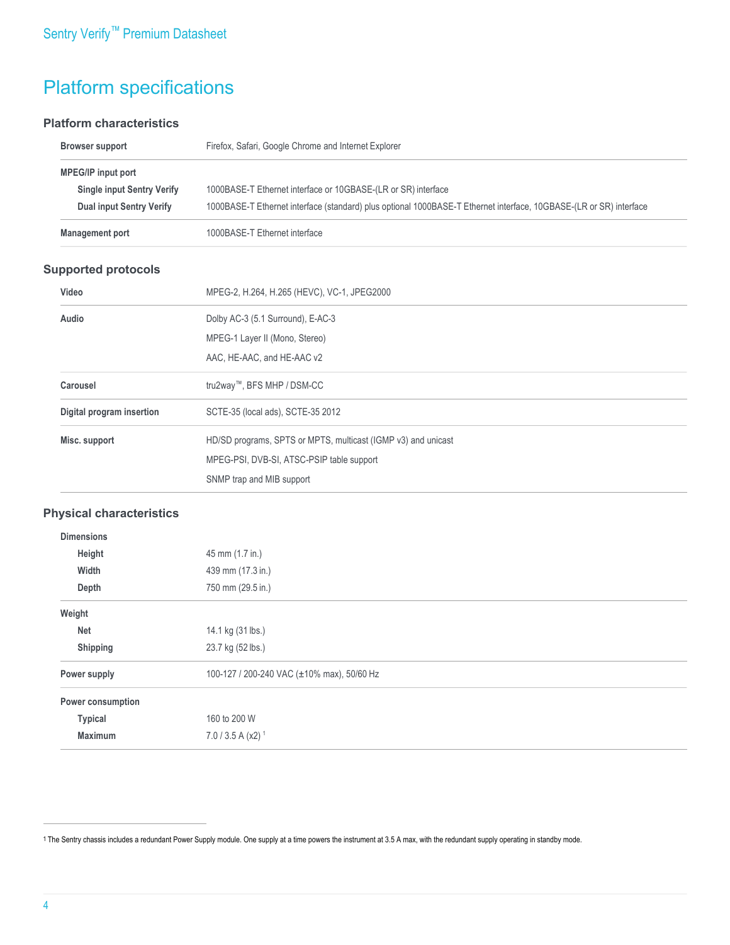# Platform specifications

#### **Platform characteristics**

| Browser support                   | Firefox, Safari, Google Chrome and Internet Explorer                                                               |
|-----------------------------------|--------------------------------------------------------------------------------------------------------------------|
| <b>MPEG/IP input port</b>         |                                                                                                                    |
| <b>Single input Sentry Verify</b> | 1000BASE-T Ethernet interface or 10GBASE-(LR or SR) interface                                                      |
| Dual input Sentry Verify          | 1000BASE-T Ethernet interface (standard) plus optional 1000BASE-T Ethernet interface, 10GBASE-(LR or SR) interface |
| <b>Management port</b>            | 1000BASE-T Ethernet interface                                                                                      |

#### **Supported protocols**

| Video                     | MPEG-2, H.264, H.265 (HEVC), VC-1, JPEG2000                   |
|---------------------------|---------------------------------------------------------------|
| Audio                     | Dolby AC-3 (5.1 Surround), E-AC-3                             |
|                           | MPEG-1 Layer II (Mono, Stereo)                                |
|                           | AAC, HE-AAC, and HE-AAC v2                                    |
| Carousel                  | tru2way™, BFS MHP / DSM-CC                                    |
| Digital program insertion | SCTE-35 (local ads), SCTE-35 2012                             |
| Misc. support             | HD/SD programs, SPTS or MPTS, multicast (IGMP v3) and unicast |
|                           | MPEG-PSI, DVB-SI, ATSC-PSIP table support                     |
|                           | SNMP trap and MIB support                                     |

#### **Physical characteristics**

| <b>Dimensions</b> |                                            |
|-------------------|--------------------------------------------|
| Height            | 45 mm (1.7 in.)                            |
| Width             | 439 mm (17.3 in.)                          |
| Depth             | 750 mm (29.5 in.)                          |
| Weight            |                                            |
| <b>Net</b>        | 14.1 kg (31 lbs.)                          |
| Shipping          | 23.7 kg (52 lbs.)                          |
| Power supply      | 100-127 / 200-240 VAC (±10% max), 50/60 Hz |
| Power consumption |                                            |
| <b>Typical</b>    | 160 to 200 W                               |
| <b>Maximum</b>    | $7.0 / 3.5 A (x2)^{1}$                     |

<sup>1</sup> The Sentry chassis includes a redundant Power Supply module. One supply at a time powers the instrument at 3.5 A max, with the redundant supply operating in standby mode.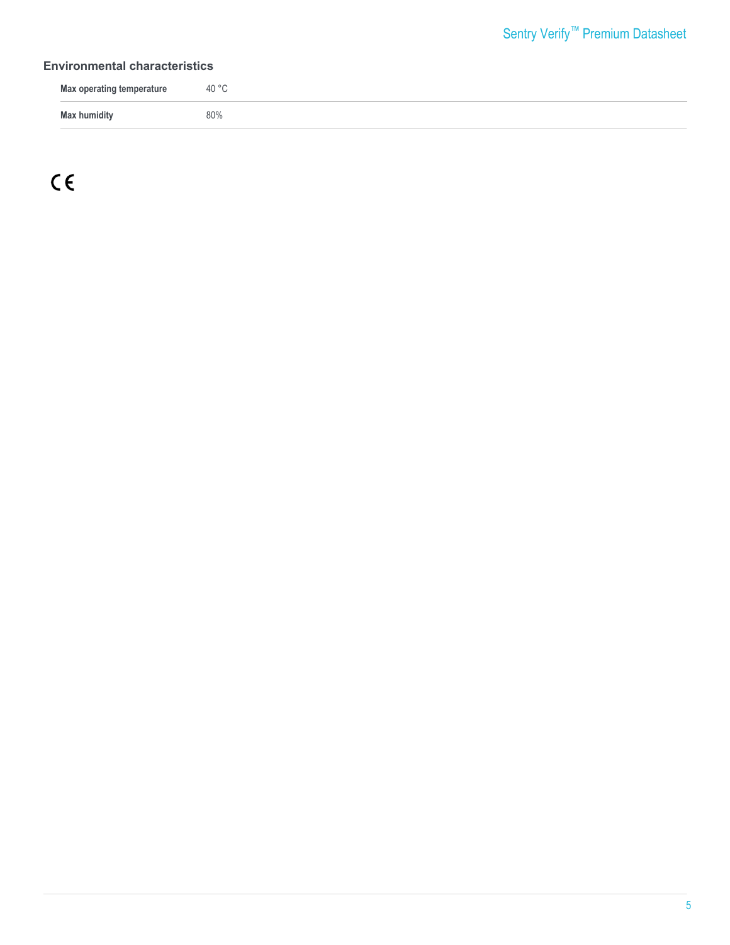#### **Environmental characteristics**

| <b>Max operating temperature</b> | 40 °C |
|----------------------------------|-------|
| Max humidity                     | 80%   |

 $C \in$